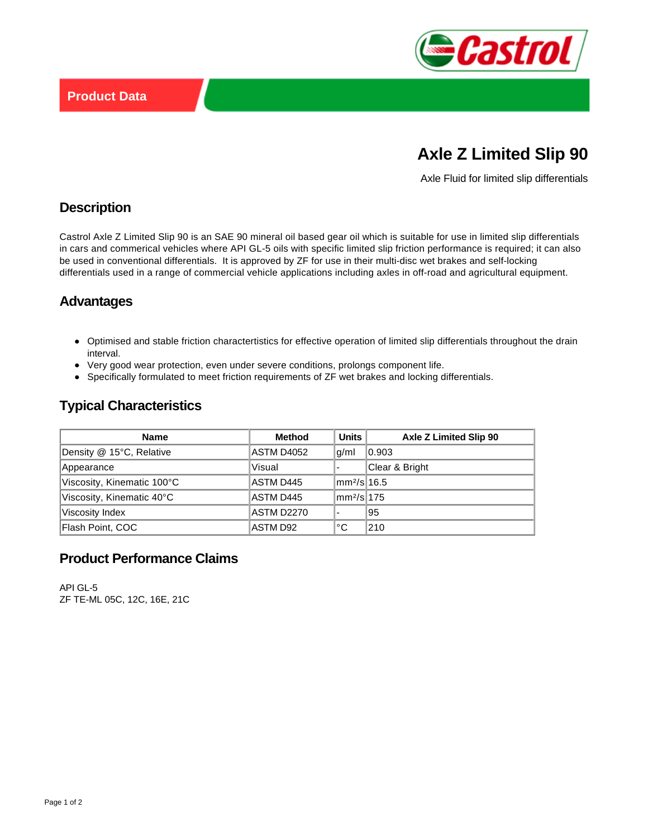

# **Axle Z Limited Slip 90**

Axle Fluid for limited slip differentials

# **Description**

Castrol Axle Z Limited Slip 90 is an SAE 90 mineral oil based gear oil which is suitable for use in limited slip differentials in cars and commerical vehicles where API GL-5 oils with specific limited slip friction performance is required; it can also be used in conventional differentials. It is approved by ZF for use in their multi-disc wet brakes and self-locking differentials used in a range of commercial vehicle applications including axles in off-road and agricultural equipment.

## **Advantages**

- Optimised and stable friction charactertistics for effective operation of limited slip differentials throughout the drain interval.
- Very good wear protection, even under severe conditions, prolongs component life.
- Specifically formulated to meet friction requirements of ZF wet brakes and locking differentials.

# **Typical Characteristics**

| <b>Name</b>                | <b>Method</b>     | Units                     | Axle Z Limited Slip 90 |
|----------------------------|-------------------|---------------------------|------------------------|
| Density @ 15°C, Relative   | ASTM D4052        | g/ml                      | 0.903                  |
| Appearance                 | Visual            |                           | Clear & Bright         |
| Viscosity, Kinematic 100°C | ASTM D445         | mm <sup>2</sup> /sl16.5   |                        |
| Viscosity, Kinematic 40°C  | ASTM D445         | $\text{Im}2/\text{s}$ 175 |                        |
| Viscosity Index            | <b>ASTM D2270</b> |                           | 95                     |
| Flash Point, COC           | ASTM D92          | ∣°C                       | 210                    |

#### **Product Performance Claims**

API GL-5 ZF TE-ML 05C, 12C, 16E, 21C